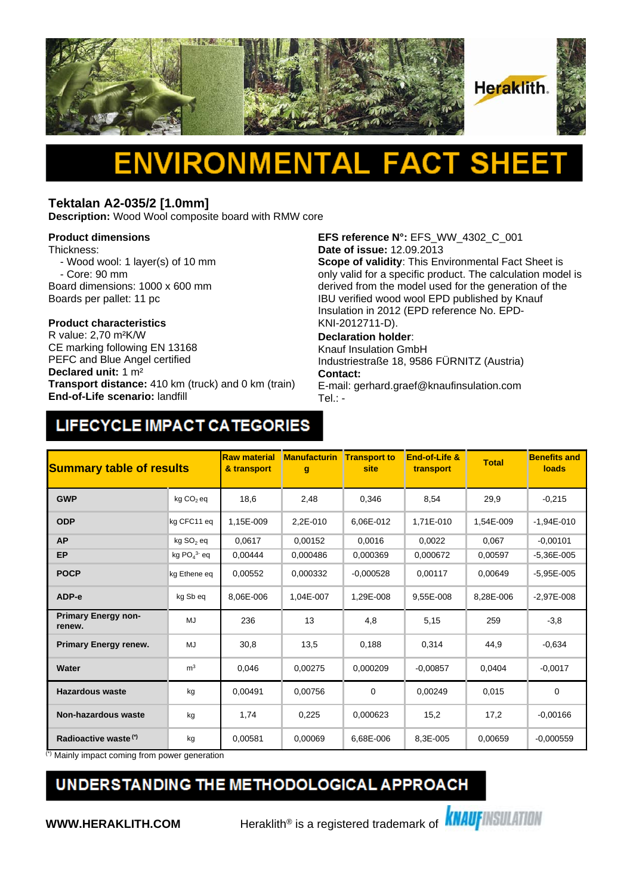

### **Tektalan A2-035/2 [1.0mm]**

**Description:** Wood Wool composite board with RMW core

#### **Product dimensions**

Thickness:

- Wood wool: 1 layer(s) of 10 mm

- Core: 90 mm

Board dimensions: 1000 x 600 mm

Boards per pallet: 11 pc

## **Product characteristics**

CE marking following EN 13168 PEFC and Blue Angel certified **Declared unit:** 1 m² **Transport distance:** 410 km (truck) and 0 km (train) **End-of-Life scenario:** landfill

**EFS reference N°:** EFS\_WW\_4302\_C\_001 **Date of issue:** 12.09.2013

**Scope of validity**: This Environmental Fact Sheet is only valid for a specific product. The calculation model is derived from the model used for the generation of the IBU verified wood wool EPD published by Knauf Insulation in 2012 (EPD reference No. EPD-KNI-2012711-D).

### **Declaration holder**:

Knauf Insulation GmbH Industriestraße 18, 9586 FÜRNITZ (Austria) **Contact:** 

E-mail: gerhard.graef@knaufinsulation.com Tel.: -

# LIFECYCLE IMPACT CATEGORIES

| <b>Summary table of results</b>      |                       | <b>Raw material</b><br>& transport | <b>Manufacturin</b><br>$\mathbf{g}$ | <b>Transport to</b><br>site | End-of-Life &<br>transport | <b>Total</b> | <b>Benefits and</b><br>loads |
|--------------------------------------|-----------------------|------------------------------------|-------------------------------------|-----------------------------|----------------------------|--------------|------------------------------|
| <b>GWP</b>                           | kg CO <sub>2</sub> eq | 18,6                               | 2,48                                | 0,346                       | 8,54                       | 29,9         | $-0,215$                     |
| <b>ODP</b>                           | kg CFC11 eq           | 1.15E-009                          | 2.2E-010                            | 6.06E-012                   | 1.71E-010                  | 1.54E-009    | $-1.94E - 010$               |
| <b>AP</b>                            | kg SO <sub>2</sub> eq | 0.0617                             | 0,00152                             | 0,0016                      | 0,0022                     | 0,067        | $-0,00101$                   |
| EP                                   | kg $PO43$ eq          | 0.00444                            | 0.000486                            | 0.000369                    | 0.000672                   | 0.00597      | $-5.36E - 005$               |
| <b>POCP</b>                          | kg Ethene eq          | 0,00552                            | 0,000332                            | $-0,000528$                 | 0,00117                    | 0,00649      | $-5,95E-005$                 |
| ADP-e                                | kg Sb eq              | 8.06E-006                          | 1,04E-007                           | 1,29E-008                   | 9,55E-008                  | 8,28E-006    | $-2,97E-008$                 |
| <b>Primary Energy non-</b><br>renew. | MJ                    | 236                                | 13                                  | 4,8                         | 5,15                       | 259          | $-3,8$                       |
| <b>Primary Energy renew.</b>         | MJ                    | 30.8                               | 13,5                                | 0,188                       | 0,314                      | 44.9         | $-0,634$                     |
| Water                                | m <sup>3</sup>        | 0,046                              | 0,00275                             | 0,000209                    | $-0.00857$                 | 0,0404       | $-0,0017$                    |
| <b>Hazardous waste</b>               | kg                    | 0,00491                            | 0,00756                             | $\mathbf 0$                 | 0,00249                    | 0,015        | $\mathbf 0$                  |
| <b>Non-hazardous waste</b>           | kg                    | 1,74                               | 0,225                               | 0,000623                    | 15,2                       | 17,2         | $-0.00166$                   |
| Radioactive waste <sup>(*)</sup>     | kg                    | 0,00581                            | 0,00069                             | 6,68E-006                   | 8,3E-005                   | 0,00659      | $-0.000559$                  |

(\*) Mainly impact coming from power generation

## UNDERSTANDING THE METHODOLOGICAL APPROACH

**WWW.HERAKLITH.COM** Heraklith<sup>®</sup> is a registered trademark of **KNAUFINSULATION**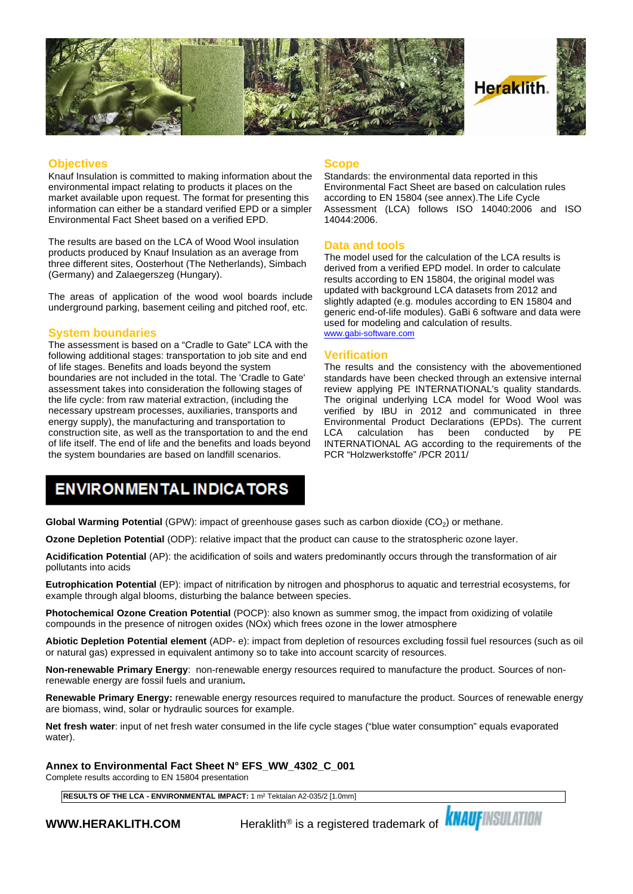

#### **Objectives**

Knauf Insulation is committed to making information about the environmental impact relating to products it places on the market available upon request. The format for presenting this information can either be a standard verified EPD or a simpler Environmental Fact Sheet based on a verified EPD.

The results are based on the LCA of Wood Wool insulation products produced by Knauf Insulation as an average from three different sites, Oosterhout (The Netherlands), Simbach (Germany) and Zalaegerszeg (Hungary).

The areas of application of the wood wool boards include underground parking, basement ceiling and pitched roof, etc.

#### **System boundaries**

The assessment is based on a "Cradle to Gate" LCA with the following additional stages: transportation to job site and end of life stages. Benefits and loads beyond the system boundaries are not included in the total. The 'Cradle to Gate' assessment takes into consideration the following stages of the life cycle: from raw material extraction, (including the necessary upstream processes, auxiliaries, transports and energy supply), the manufacturing and transportation to construction site, as well as the transportation to and the end LCA of life itself. The end of life and the benefits and loads beyond the system boundaries are based on landfill scenarios.

#### **Scope**

Standards: the environmental data reported in this Environmental Fact Sheet are based on calculation rules according to EN 15804 (see annex).The Life Cycle Assessment (LCA) follows ISO 14040:2006 and ISO 14044:2006.

#### **Data and tools**

The model used for the calculation of the LCA results is derived from a verified EPD model. In order to calculate results according to EN 15804, the original model was updated with background LCA datasets from 2012 and slightly adapted (e.g. modules according to EN 15804 and generic end-of-life modules). GaBi 6 software and data were used for modeling and calculation of results. [www.gabi-software.com](http://www.gabi-software.com)

#### **Verification**

The results and the consistency with the abovementioned standards have been checked through an extensive internal review applying PE INTERNATIONAL's quality standards. The original underlying LCA model for Wood Wool was verified by IBU in 2012 and communicated in three Environmental Product Declarations (EPDs). The current calculation has been conducted INTERNATIONAL AG according to the requirements of the PCR "Holzwerkstoffe" /PCR 2011/

### **ENVIRONMENTAL INDICATORS**

**Global Warming Potential** (GPW): impact of greenhouse gases such as carbon dioxide (CO<sub>2</sub>) or methane.

**Ozone Depletion Potential** (ODP): relative impact that the product can cause to the stratospheric ozone layer.

**Acidification Potential** (AP): the acidification of soils and waters predominantly occurs through the transformation of air pollutants into acids

**Eutrophication Potential** (EP): impact of nitrification by nitrogen and phosphorus to aquatic and terrestrial ecosystems, for example through algal blooms, disturbing the balance between species.

**Photochemical Ozone Creation Potential** (POCP): also known as summer smog, the impact from oxidizing of volatile compounds in the presence of nitrogen oxides (NOx) which frees ozone in the lower atmosphere

**Abiotic Depletion Potential element** (ADP- e): impact from depletion of resources excluding fossil fuel resources (such as oil or natural gas) expressed in equivalent antimony so to take into account scarcity of resources.

**Non-renewable Primary Energy**: non-renewable energy resources required to manufacture the product. Sources of nonrenewable energy are fossil fuels and uranium**.**

**Renewable Primary Energy:** renewable energy resources required to manufacture the product. Sources of renewable energy are biomass, wind, solar or hydraulic sources for example.

**Net fresh water**: input of net fresh water consumed in the life cycle stages ("blue water consumption" equals evaporated water).

**Annex to Environmental Fact Sheet N° EFS\_WW\_4302\_C\_001**

Complete results according to EN 15804 presentation

**RESULTS OF THE LCA - ENVIRONMENTAL IMPACT:** 1 m² Tektalan A2-035/2 [1.0mm]

**WWW.HERAKLITH.COM** Heraklith® is a registered trademark of **KNAUFINSULATION**